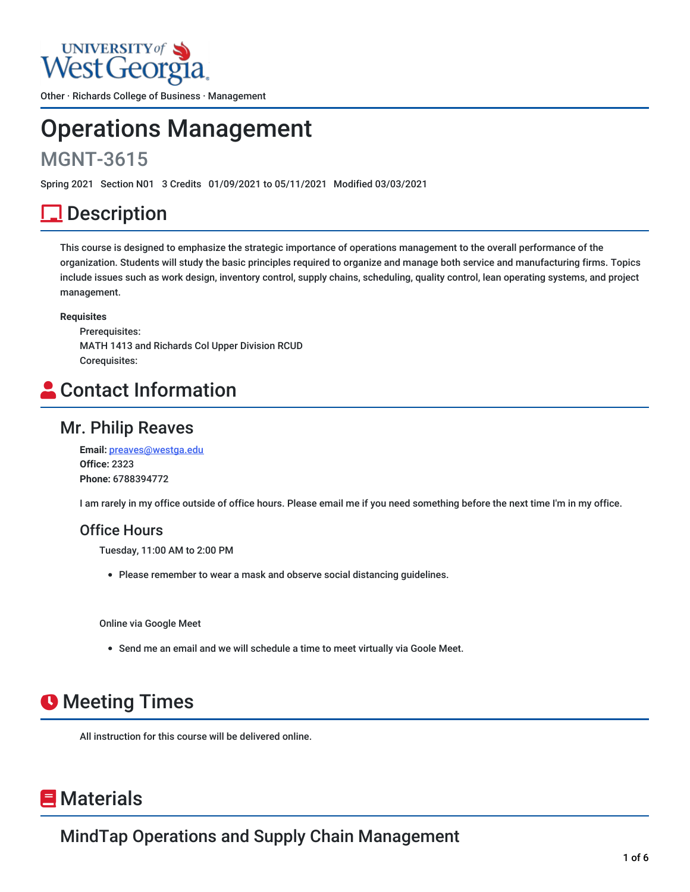## **UNIVERSITY** of West Georg

Other · Richards College of Business · Management

# Operations Management

## MGNT-3615

Spring 2021 Section N01 3 Credits 01/09/2021 to 05/11/2021 Modified 03/03/2021

## <u>l</u> Description

This course is designed to emphasize the strategic importance of operations management to the overall performance of the organization. Students will study the basic principles required to organize and manage both service and manufacturing firms. Topics include issues such as work design, inventory control, supply chains, scheduling, quality control, lean operating systems, and project management.

#### **Requisites**

Prerequisites: MATH 1413 and Richards Col Upper Division RCUD Corequisites:

## Contact Information

### Mr. Philip Reaves

**Email:** [preaves@westga.edu](mailto:preaves@westga.edu) **Office:** 2323 **Phone:** 6788394772

I am rarely in my office outside of office hours. Please email me if you need something before the next time I'm in my office.

### Office Hours

Tuesday, 11:00 AM to 2:00 PM

Please remember to wear a mask and observe social distancing guidelines.

Online via Google Meet

Send me an email and we will schedule a time to meet virtually via Goole Meet.

## **O** Meeting Times

All instruction for this course will be delivered online.

## **E** Materials

MindTap Operations and Supply Chain Management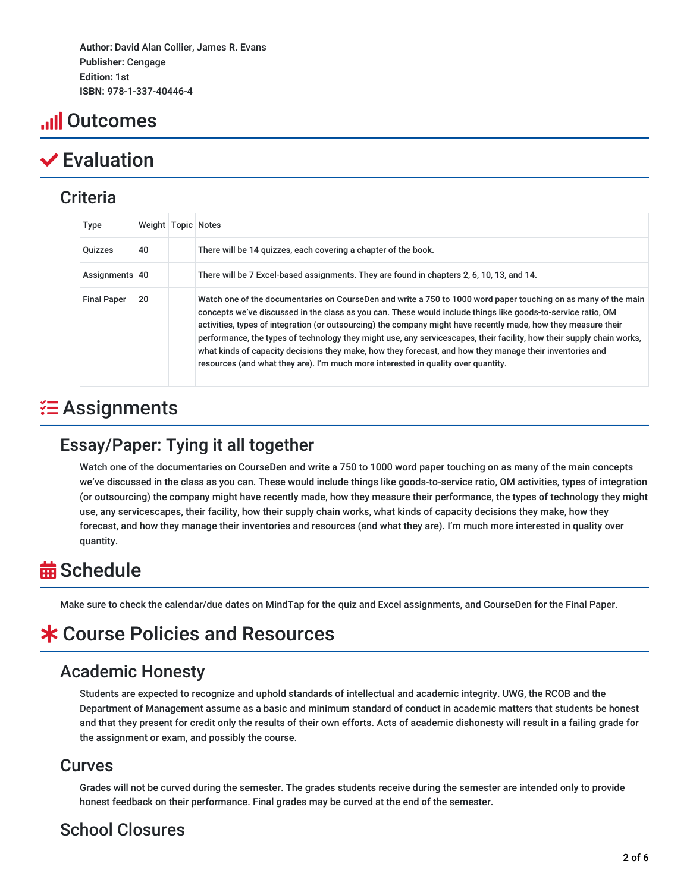**Author:** David Alan Collier, James R. Evans **Publisher:** Cengage **Edition:** 1st **ISBN:** 978-1-337-40446-4

## **ull Outcomes**

## Evaluation

### **Criteria**

| <b>Type</b>        | Weight   Topic   Notes |                                                                                                                                                                                                                                                                                                                                                                                                                                                                                                                                                                                                                                                                            |
|--------------------|------------------------|----------------------------------------------------------------------------------------------------------------------------------------------------------------------------------------------------------------------------------------------------------------------------------------------------------------------------------------------------------------------------------------------------------------------------------------------------------------------------------------------------------------------------------------------------------------------------------------------------------------------------------------------------------------------------|
| <b>Quizzes</b>     | 40                     | There will be 14 quizzes, each covering a chapter of the book.                                                                                                                                                                                                                                                                                                                                                                                                                                                                                                                                                                                                             |
| Assignments 40     |                        | There will be 7 Excel-based assignments. They are found in chapters 2, 6, 10, 13, and 14.                                                                                                                                                                                                                                                                                                                                                                                                                                                                                                                                                                                  |
| <b>Final Paper</b> | 20                     | Watch one of the documentaries on CourseDen and write a 750 to 1000 word paper touching on as many of the main<br>concepts we've discussed in the class as you can. These would include things like goods-to-service ratio, OM<br>activities, types of integration (or outsourcing) the company might have recently made, how they measure their<br>performance, the types of technology they might use, any servicescapes, their facility, how their supply chain works,<br>what kinds of capacity decisions they make, how they forecast, and how they manage their inventories and<br>resources (and what they are). I'm much more interested in quality over quantity. |

## $\Xi$  Assignments

## Essay/Paper: Tying it all together

Watch one of the documentaries on CourseDen and write a 750 to 1000 word paper touching on as many of the main concepts we've discussed in the class as you can. These would include things like goods-to-service ratio, OM activities, types of integration (or outsourcing) the company might have recently made, how they measure their performance, the types of technology they might use, any servicescapes, their facility, how their supply chain works, what kinds of capacity decisions they make, how they forecast, and how they manage their inventories and resources (and what they are). I'm much more interested in quality over quantity.

## **益 Schedule**

Make sure to check the calendar/due dates on MindTap for the quiz and Excel assignments, and CourseDen for the Final Paper.

## Course Policies and Resources

## Academic Honesty

Students are expected to recognize and uphold standards of intellectual and academic integrity. UWG, the RCOB and the Department of Management assume as a basic and minimum standard of conduct in academic matters that students be honest and that they present for credit only the results of their own efforts. Acts of academic dishonesty will result in a failing grade for the assignment or exam, and possibly the course.

### Curves

Grades will not be curved during the semester. The grades students receive during the semester are intended only to provide honest feedback on their performance. Final grades may be curved at the end of the semester.

## School Closures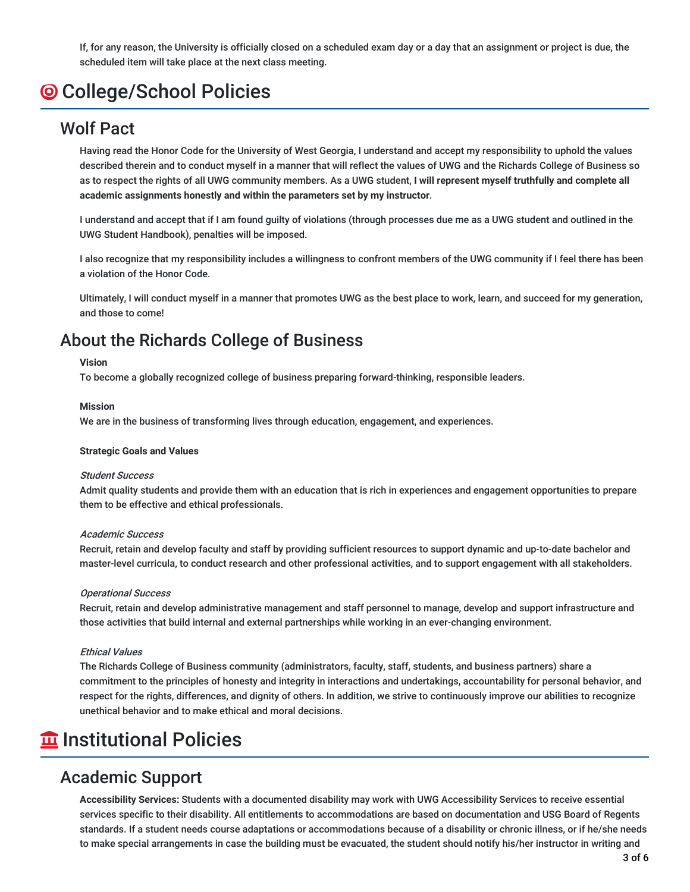If, for any reason, the University is officially closed on a scheduled exam day or a day that an assignment or project is due, the scheduled item will take place at the next class meeting.

## College/School Policies

### Wolf Pact

Having read the Honor Code for the University of West Georgia, I understand and accept my responsibility to uphold the values described therein and to conduct myself in a manner that will reflect the values of UWG and the Richards College of Business so as to respect the rights of all UWG community members. As a UWG student, **I will represent myself truthfully and complete all academic assignments honestly and within the parameters set by my instructor**.

I understand and accept that if I am found guilty of violations (through processes due me as a UWG student and outlined in the UWG Student Handbook), penalties will be imposed.

I also recognize that my responsibility includes a willingness to confront members of the UWG community if I feel there has been a violation of the Honor Code.

Ultimately, I will conduct myself in a manner that promotes UWG as the best place to work, learn, and succeed for my generation, and those to come!

### About the Richards College of Business

#### **Vision**

To become a globally recognized college of business preparing forward-thinking, responsible leaders.

#### **Mission**

We are in the business of transforming lives through education, engagement, and experiences.

#### **Strategic Goals and Values**

#### Student Success

Admit quality students and provide them with an education that is rich in experiences and engagement opportunities to prepare them to be effective and ethical professionals.

#### Academic Success

Recruit, retain and develop faculty and staff by providing sufficient resources to support dynamic and up-to-date bachelor and master-level curricula, to conduct research and other professional activities, and to support engagement with all stakeholders.

#### Operational Success

Recruit, retain and develop administrative management and staff personnel to manage, develop and support infrastructure and those activities that build internal and external partnerships while working in an ever-changing environment.

#### Ethical Values

The Richards College of Business community (administrators, faculty, staff, students, and business partners) share a commitment to the principles of honesty and integrity in interactions and undertakings, accountability for personal behavior, and respect for the rights, differences, and dignity of others. In addition, we strive to continuously improve our abilities to recognize unethical behavior and to make ethical and moral decisions.

## **The Institutional Policies**

### Academic Support

**Accessibility Services:** Students with a documented disability may work with UWG Accessibility Services to receive essential services specific to their disability. All entitlements to accommodations are based on documentation and USG Board of Regents standards. If a student needs course adaptations or accommodations because of a disability or chronic illness, or if he/she needs to make special arrangements in case the building must be evacuated, the student should notify his/her instructor in writing and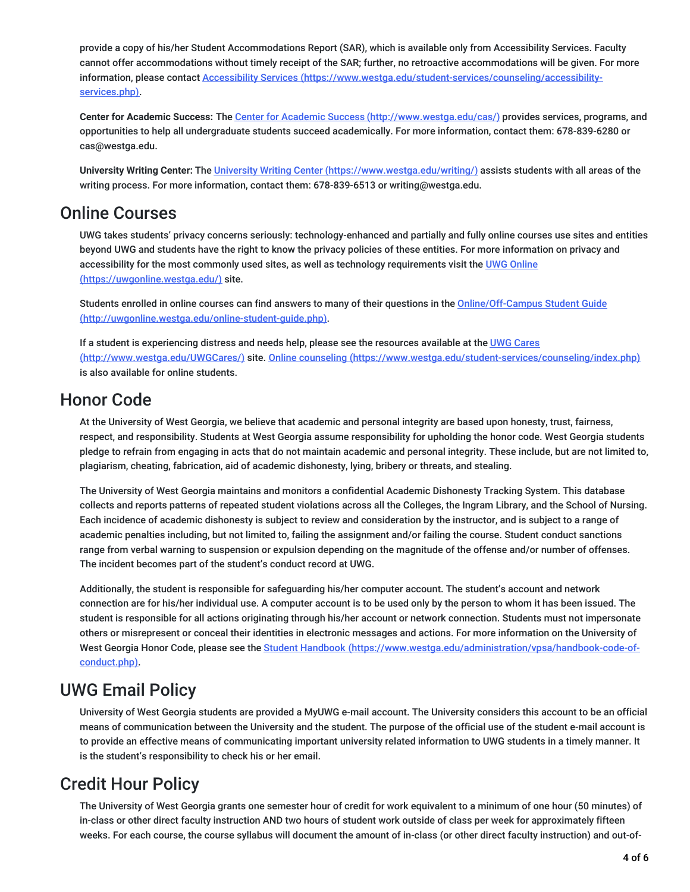provide a copy of his/her Student Accommodations Report (SAR), which is available only from Accessibility Services. Faculty cannot offer accommodations without timely receipt of the SAR; further, no retroactive accommodations will be given. For more information, please contact Accessibility Services [\(https://www.westga.edu/student-services/counseling/accessibility](https://www.westga.edu/student-services/counseling/accessibility-services.php)services.php).

**Center for Academic Success:** The Center for Academic Success [\(http://www.westga.edu/cas/\)](http://www.westga.edu/cas/) provides services, programs, and opportunities to help all undergraduate students succeed academically. For more information, contact them: 678-839-6280 or cas@westga.edu.

**University Writing Center:** The University Writing Center [\(https://www.westga.edu/writing/\)](https://www.westga.edu/writing/) assists students with all areas of the writing process. For more information, contact them: 678-839-6513 or writing@westga.edu.

### Online Courses

UWG takes students' privacy concerns seriously: technology-enhanced and partially and fully online courses use sites and entities beyond UWG and students have the right to know the privacy policies of these entities. For more information on privacy and accessibility for the most commonly used sites, as well as technology requirements visit the UWG Online [\(https://uwgonline.westga.edu/\)](https://uwgonline.westga.edu/) site.

Students enrolled in online courses can find answers to many of their questions in the Online/Off-Campus Student Guide [\(http://uwgonline.westga.edu/online-student-guide.php\).](http://uwgonline.westga.edu/online-student-guide.php)

If a student is experiencing distress and needs help, please see the resources available at the UWG Cares (http://www.westga.edu/UWGCares/) site. Online counseling [\(https://www.westga.edu/student-services](http://www.westga.edu/UWGCares/)[/counseling/index.php\)](https://www.westga.edu/student-services/counseling/index.php) is also available for online students.

### Honor Code

At the University of West Georgia, we believe that academic and personal integrity are based upon honesty, trust, fairness, respect, and responsibility. Students at West Georgia assume responsibility for upholding the honor code. West Georgia students pledge to refrain from engaging in acts that do not maintain academic and personal integrity. These include, but are not limited to, plagiarism, cheating, fabrication, aid of academic dishonesty, lying, bribery or threats, and stealing.

The University of West Georgia maintains and monitors a confidential Academic Dishonesty Tracking System. This database collects and reports patterns of repeated student violations across all the Colleges, the Ingram Library, and the School of Nursing. Each incidence of academic dishonesty is subject to review and consideration by the instructor, and is subject to a range of academic penalties including, but not limited to, failing the assignment and/or failing the course. Student conduct sanctions range from verbal warning to suspension or expulsion depending on the magnitude of the offense and/or number of offenses. The incident becomes part of the student's conduct record at UWG.

Additionally, the student is responsible for safeguarding his/her computer account. The student's account and network connection are for his/her individual use. A computer account is to be used only by the person to whom it has been issued. The student is responsible for all actions originating through his/her account or network connection. Students must not impersonate others or misrepresent or conceal their identities in electronic messages and actions. For more information on the University of West Georgia Honor Code, please see the Student Handbook [\(https://www.westga.edu/administration/vpsa/handbook-code-of](https://www.westga.edu/administration/vpsa/handbook-code-of-conduct.php)conduct.php).

### UWG Email Policy

University of West Georgia students are provided a MyUWG e-mail account. The University considers this account to be an official means of communication between the University and the student. The purpose of the official use of the student e-mail account is to provide an effective means of communicating important university related information to UWG students in a timely manner. It is the student's responsibility to check his or her email.

## Credit Hour Policy

The University of West Georgia grants one semester hour of credit for work equivalent to a minimum of one hour (50 minutes) of in-class or other direct faculty instruction AND two hours of student work outside of class per week for approximately fifteen weeks. For each course, the course syllabus will document the amount of in-class (or other direct faculty instruction) and out-of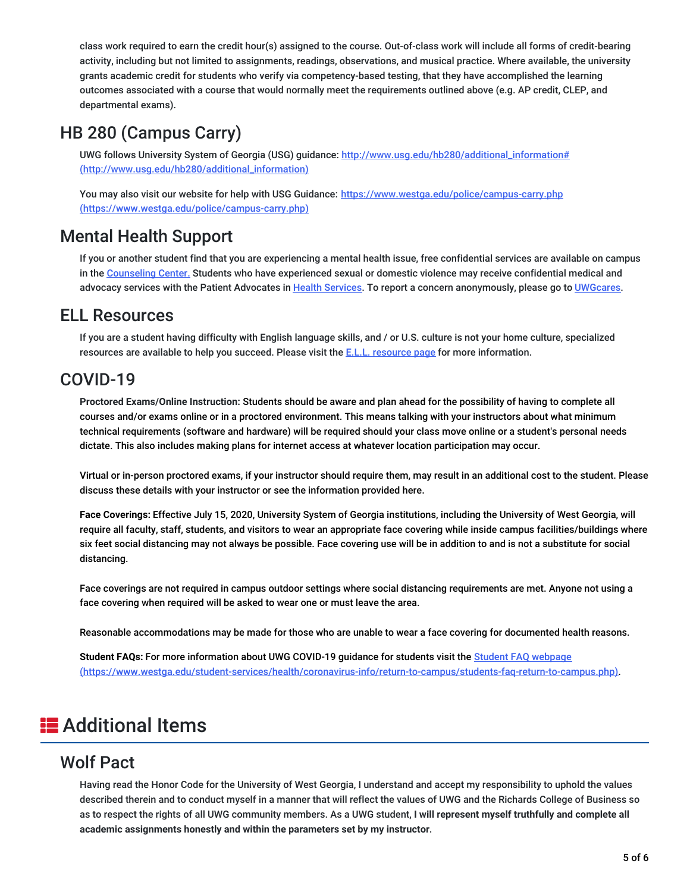class work required to earn the credit hour(s) assigned to the course. Out-of-class work will include all forms of credit-bearing activity, including but not limited to assignments, readings, observations, and musical practice. Where available, the university grants academic credit for students who verify via competency-based testing, that they have accomplished the learning outcomes associated with a course that would normally meet the requirements outlined above (e.g. AP credit, CLEP, and departmental exams).

## HB 280 (Campus Carry)

UWG follows University System of Georgia (USG) guidance: [http://www.usg.edu/hb280/additional\\_information#](http://www.usg.edu/hb280/additional_information) (http://www.usg.edu/hb280/additional\_information)

You may also visit our website for help with USG Guidance: https://www.westga.edu/police/campus-carry.php [\(https://www.westga.edu/police/campus-carry.php\)](https://www.westga.edu/police/campus-carry.php)

### Mental Health Support

If you or another student find that you are experiencing a mental health issue, free confidential services are available on campus in the [Counseling](https://www.westga.edu/student-services/counseling/) Center. Students who have experienced sexual or domestic violence may receive confidential medical and advocacy services with the Patient Advocates in Health [Services](https://www.westga.edu/student-services/health/). To report a concern anonymously, please go to [UWGcares](https://www.westga.edu/uwgcares/).

### ELL Resources

If you are a student having difficulty with English language skills, and / or U.S. culture is not your home culture, specialized [resource](https://www.westga.edu/academics/isap/ell-resources.php)s are available to help you succeed. Please visit the E.L.L. resource page for more information.

### COVID-19

**Proctored Exams/Online Instruction:** Students should be aware and plan ahead for the possibility of having to complete all courses and/or exams online or in a proctored environment. This means talking with your instructors about what minimum technical requirements (software and hardware) will be required should your class move online or a student's personal needs dictate. This also includes making plans for internet access at whatever location participation may occur.

Virtual or in-person proctored exams, if your instructor should require them, may result in an additional cost to the student. Please discuss these details with your instructor or see the information provided here.

**Face Coverings:** Effective July 15, 2020, University System of Georgia institutions, including the University of West Georgia, will require all faculty, staff, students, and visitors to wear an appropriate face covering while inside campus facilities/buildings where six feet social distancing may not always be possible. Face covering use will be in addition to and is not a substitute for social distancing.

Face coverings are not required in campus outdoor settings where social distancing requirements are met. Anyone not using a face covering when required will be asked to wear one or must leave the area.

Reasonable accommodations may be made for those who are unable to wear a face covering for documented health reasons.

**Student FAQs:** For more information about UWG COVID-19 guidance for students visit the Student FAQ webpage [\(https://www.westga.edu/student-services/health/coronavirus-info/return-to-campus/students-faq-return-to-campus.php\)](https://www.westga.edu/student-services/health/coronavirus-info/return-to-campus/students-faq-return-to-campus.php).

## **E** Additional Items

### Wolf Pact

Having read the Honor Code for the University of West Georgia, I understand and accept my responsibility to uphold the values described therein and to conduct myself in a manner that will reflect the values of UWG and the Richards College of Business so as to respect the rights of all UWG community members. As a UWG student, **I will represent myself truthfully and complete all academic assignments honestly and within the parameters set by my instructor**.